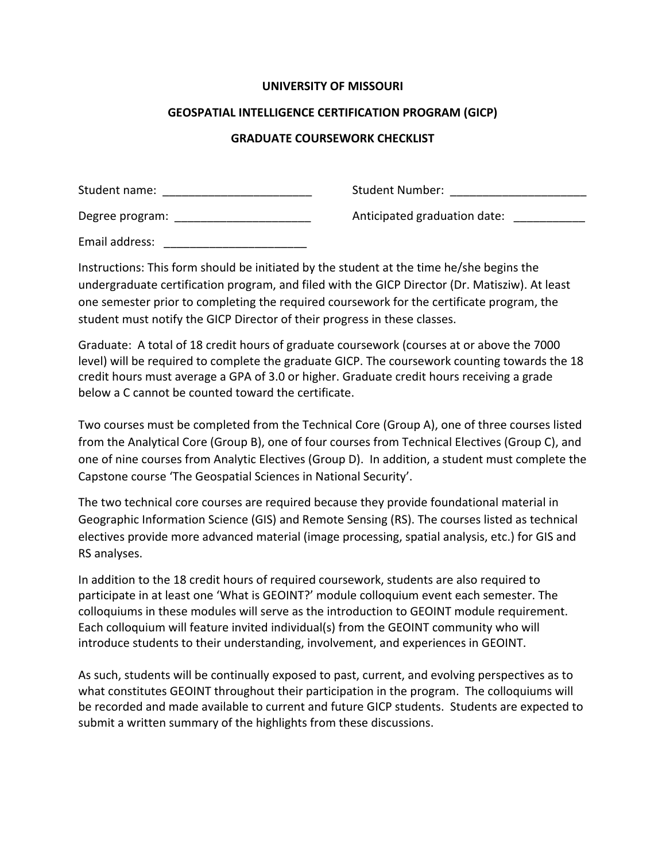### **UNIVERSITY OF MISSOURI**

### **GEOSPATIAL INTELLIGENCE CERTIFICATION PROGRAM (GICP)**

## **GRADUATE COURSEWORK CHECKLIST**

| Student name:   | Student Number:              |
|-----------------|------------------------------|
| Degree program: | Anticipated graduation date: |
| Email address:  |                              |

Instructions: This form should be initiated by the student at the time he/she begins the undergraduate certification program, and filed with the GICP Director (Dr. Matisziw). At least one semester prior to completing the required coursework for the certificate program, the student must notify the GICP Director of their progress in these classes.

Graduate: A total of 18 credit hours of graduate coursework (courses at or above the 7000 level) will be required to complete the graduate GICP. The coursework counting towards the 18 credit hours must average a GPA of 3.0 or higher. Graduate credit hours receiving a grade below a C cannot be counted toward the certificate.

Two courses must be completed from the Technical Core (Group A), one of three courses listed from the Analytical Core (Group B), one of four courses from Technical Electives (Group C), and one of nine courses from Analytic Electives (Group D). In addition, a student must complete the Capstone course 'The Geospatial Sciences in National Security'.

The two technical core courses are required because they provide foundational material in Geographic Information Science (GIS) and Remote Sensing (RS). The courses listed as technical electives provide more advanced material (image processing, spatial analysis, etc.) for GIS and RS analyses.

In addition to the 18 credit hours of required coursework, students are also required to participate in at least one 'What is GEOINT?' module colloquium event each semester. The colloquiums in these modules will serve as the introduction to GEOINT module requirement. Each colloquium will feature invited individual(s) from the GEOINT community who will introduce students to their understanding, involvement, and experiences in GEOINT.

As such, students will be continually exposed to past, current, and evolving perspectives as to what constitutes GEOINT throughout their participation in the program. The colloquiums will be recorded and made available to current and future GICP students. Students are expected to submit a written summary of the highlights from these discussions.